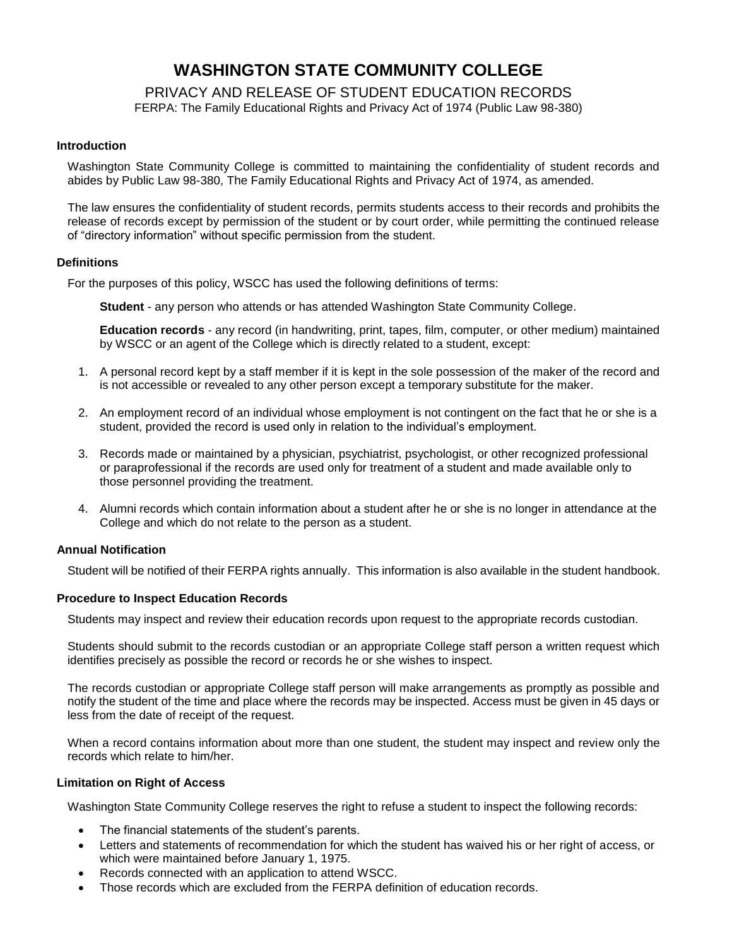# **WASHINGTON STATE COMMUNITY COLLEGE**

PRIVACY AND RELEASE OF STUDENT EDUCATION RECORDS

FERPA: The Family Educational Rights and Privacy Act of 1974 (Public Law 98-380)

#### **Introduction**

Washington State Community College is committed to maintaining the confidentiality of student records and abides by Public Law 98-380, The Family Educational Rights and Privacy Act of 1974, as amended.

The law ensures the confidentiality of student records, permits students access to their records and prohibits the release of records except by permission of the student or by court order, while permitting the continued release of "directory information" without specific permission from the student.

#### **Definitions**

For the purposes of this policy, WSCC has used the following definitions of terms:

**Student** - any person who attends or has attended Washington State Community College.

**Education records** - any record (in handwriting, print, tapes, film, computer, or other medium) maintained by WSCC or an agent of the College which is directly related to a student, except:

- 1. A personal record kept by a staff member if it is kept in the sole possession of the maker of the record and is not accessible or revealed to any other person except a temporary substitute for the maker.
- 2. An employment record of an individual whose employment is not contingent on the fact that he or she is a student, provided the record is used only in relation to the individual's employment.
- 3. Records made or maintained by a physician, psychiatrist, psychologist, or other recognized professional or paraprofessional if the records are used only for treatment of a student and made available only to those personnel providing the treatment.
- 4. Alumni records which contain information about a student after he or she is no longer in attendance at the College and which do not relate to the person as a student.

#### **Annual Notification**

Student will be notified of their FERPA rights annually. This information is also available in the student handbook.

#### **Procedure to Inspect Education Records**

Students may inspect and review their education records upon request to the appropriate records custodian.

Students should submit to the records custodian or an appropriate College staff person a written request which identifies precisely as possible the record or records he or she wishes to inspect.

The records custodian or appropriate College staff person will make arrangements as promptly as possible and notify the student of the time and place where the records may be inspected. Access must be given in 45 days or less from the date of receipt of the request.

When a record contains information about more than one student, the student may inspect and review only the records which relate to him/her.

#### **Limitation on Right of Access**

Washington State Community College reserves the right to refuse a student to inspect the following records:

- The financial statements of the student's parents.
- Letters and statements of recommendation for which the student has waived his or her right of access, or which were maintained before January 1, 1975.
- Records connected with an application to attend WSCC.
- Those records which are excluded from the FERPA definition of education records.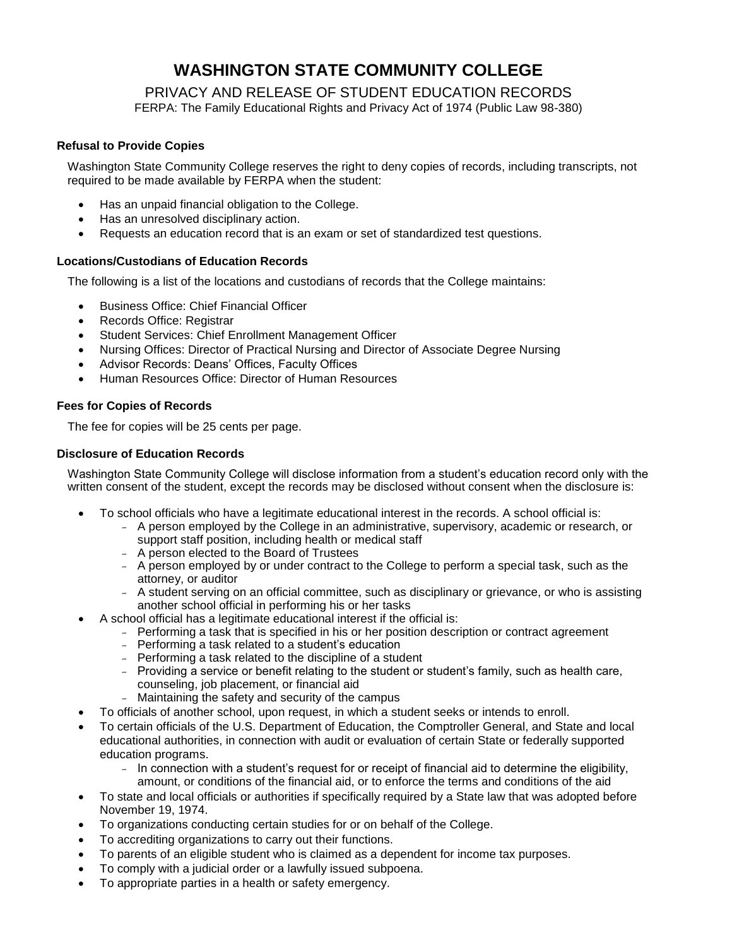# **WASHINGTON STATE COMMUNITY COLLEGE**

## PRIVACY AND RELEASE OF STUDENT EDUCATION RECORDS

FERPA: The Family Educational Rights and Privacy Act of 1974 (Public Law 98-380)

### **Refusal to Provide Copies**

Washington State Community College reserves the right to deny copies of records, including transcripts, not required to be made available by FERPA when the student:

- Has an unpaid financial obligation to the College.
- Has an unresolved disciplinary action.
- Requests an education record that is an exam or set of standardized test questions.

### **Locations/Custodians of Education Records**

The following is a list of the locations and custodians of records that the College maintains:

- Business Office: Chief Financial Officer
- Records Office: Registrar
- Student Services: Chief Enrollment Management Officer
- Nursing Offices: Director of Practical Nursing and Director of Associate Degree Nursing
- Advisor Records: Deans' Offices, Faculty Offices
- Human Resources Office: Director of Human Resources

### **Fees for Copies of Records**

The fee for copies will be 25 cents per page.

### **Disclosure of Education Records**

Washington State Community College will disclose information from a student's education record only with the written consent of the student, except the records may be disclosed without consent when the disclosure is:

- To school officials who have a legitimate educational interest in the records. A school official is:
	- A person employed by the College in an administrative, supervisory, academic or research, or support staff position, including health or medical staff
	- A person elected to the Board of Trustees
	- A person employed by or under contract to the College to perform a special task, such as the attorney, or auditor
	- A student serving on an official committee, such as disciplinary or grievance, or who is assisting another school official in performing his or her tasks
- A school official has a legitimate educational interest if the official is:
	- Performing a task that is specified in his or her position description or contract agreement
	- Performing a task related to a student's education
	- Performing a task related to the discipline of a student
	- Providing a service or benefit relating to the student or student's family, such as health care, counseling, job placement, or financial aid
	- Maintaining the safety and security of the campus
- To officials of another school, upon request, in which a student seeks or intends to enroll.
- To certain officials of the U.S. Department of Education, the Comptroller General, and State and local educational authorities, in connection with audit or evaluation of certain State or federally supported education programs.
	- In connection with a student's request for or receipt of financial aid to determine the eligibility, amount, or conditions of the financial aid, or to enforce the terms and conditions of the aid
- To state and local officials or authorities if specifically required by a State law that was adopted before November 19, 1974.
- To organizations conducting certain studies for or on behalf of the College.
- To accrediting organizations to carry out their functions.
- To parents of an eligible student who is claimed as a dependent for income tax purposes.
- To comply with a judicial order or a lawfully issued subpoena.
- To appropriate parties in a health or safety emergency.